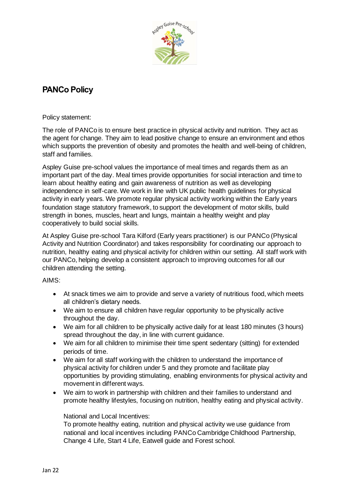

## **PANCo Policy**

 $\overline{a}$ Policy statement:

The role of PANCo is to ensure best practice in physical activity and nutrition. They act as the agent for change. They aim to lead positive change to ensure an environment and ethos which supports the prevention of obesity and promotes the health and well-being of children, staff and families.

Aspley Guise pre-school values the importance of meal times and regards them as an important part of the day. Meal times provide opportunities for social interaction and time to learn about healthy eating and gain awareness of nutrition as well as developing independence in self-care. We work in line with UK public health guidelines for physical activity in early years. We promote regular physical activity working within the Early years foundation stage statutory framework, to support the development of motor skills, build strength in bones, muscles, heart and lungs, maintain a healthy weight and play cooperatively to build social skills.

At Aspley Guise pre-school Tara Kilford (Early years practitioner) is our PANCo (Physical Activity and Nutrition Coordinator) and takes responsibility for coordinating our approach to nutrition, healthy eating and physical activity for children within our setting. All staff work with our PANCo, helping develop a consistent approach to improving outcomes for all our children attending the setting.

## AIMS:

- At snack times we aim to provide and serve a variety of nutritious food, which meets all children's dietary needs.
- We aim to ensure all children have regular opportunity to be physically active throughout the day.
- We aim for all children to be physically active daily for at least 180 minutes (3 hours) spread throughout the day, in line with current guidance.
- We aim for all children to minimise their time spent sedentary (sitting) for extended periods of time.
- We aim for all staff working with the children to understand the importance of physical activity for children under 5 and they promote and facilitate play opportunities by providing stimulating, enabling environments for physical activity and movement in different ways.
- We aim to work in partnership with children and their families to understand and promote healthy lifestyles, focusing on nutrition, healthy eating and physical activity.

## National and Local Incentives:

To promote healthy eating, nutrition and physical activity we use guidance from national and local incentives including PANCo Cambridge Childhood Partnership, Change 4 Life, Start 4 Life, Eatwell guide and Forest school.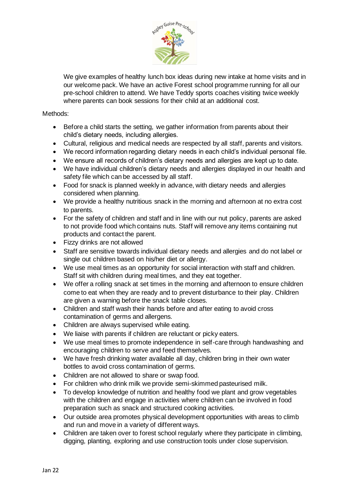

We give examples of healthy lunch box ideas during new intake at home visits and in our welcome pack. We have an active Forest school programme running for all our pre-school children to attend. We have Teddy sports coaches visiting twice weekly where parents can book sessions for their child at an additional cost.

## Methods:

- Before a child starts the setting, we gather information from parents about their child's dietary needs, including allergies.
- Cultural, religious and medical needs are respected by all staff, parents and visitors.
- We record information regarding dietary needs in each child's individual personal file.
- We ensure all records of children's dietary needs and allergies are kept up to date.
- We have individual children's dietary needs and allergies displayed in our health and safety file which can be accessed by all staff.
- Food for snack is planned weekly in advance, with dietary needs and allergies considered when planning.
- We provide a healthy nutritious snack in the morning and afternoon at no extra cost to parents.
- For the safety of children and staff and in line with our nut policy, parents are asked to not provide food which contains nuts. Staff will remove any items containing nut products and contact the parent.
- Fizzy drinks are not allowed
- Staff are sensitive towards individual dietary needs and allergies and do not label or single out children based on his/her diet or allergy.
- We use meal times as an opportunity for social interaction with staff and children. Staff sit with children during meal times, and they eat together.
- We offer a rolling snack at set times in the morning and afternoon to ensure children come to eat when they are ready and to prevent disturbance to their play. Children are given a warning before the snack table closes.
- Children and staff wash their hands before and after eating to avoid cross contamination of germs and allergens.
- Children are always supervised while eating.
- We liaise with parents if children are reluctant or picky eaters.
- We use meal times to promote independence in self-care through handwashing and encouraging children to serve and feed themselves.
- We have fresh drinking water available all day, children bring in their own water bottles to avoid cross contamination of germs.
- Children are not allowed to share or swap food.
- For children who drink milk we provide semi-skimmed pasteurised milk.
- To develop knowledge of nutrition and healthy food we plant and grow vegetables with the children and engage in activities where children can be involved in food preparation such as snack and structured cooking activities.
- Our outside area promotes physical development opportunities with areas to climb and run and move in a variety of different ways.
- Children are taken over to forest school regularly where they participate in climbing, digging, planting, exploring and use construction tools under close supervision.